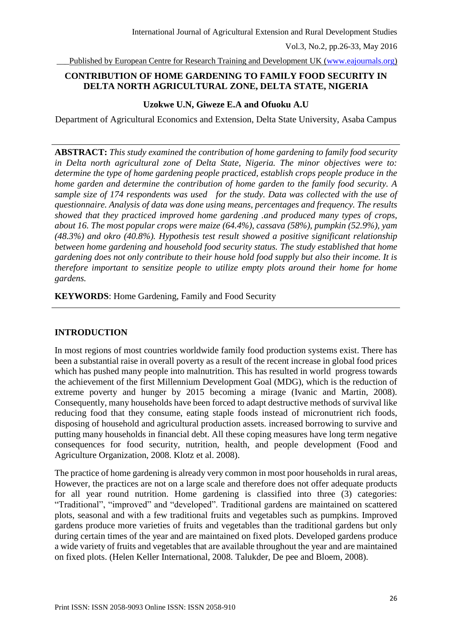Published by European Centre for Research Training and Development UK [\(www.eajournals.org\)](http://www.eajournals.org/)

## **CONTRIBUTION OF HOME GARDENING TO FAMILY FOOD SECURITY IN DELTA NORTH AGRICULTURAL ZONE, DELTA STATE, NIGERIA**

## **Uzokwe U.N, Giweze E.A and Ofuoku A.U**

Department of Agricultural Economics and Extension, Delta State University, Asaba Campus

**ABSTRACT:** *This study examined the contribution of home gardening to family food security in Delta north agricultural zone of Delta State, Nigeria. The minor objectives were to: determine the type of home gardening people practiced, establish crops people produce in the home garden and determine the contribution of home garden to the family food security. A sample size of 174 respondents was used for the study. Data was collected with the use of questionnaire. Analysis of data was done using means, percentages and frequency. The results showed that they practiced improved home gardening .and produced many types of crops, about 16. The most popular crops were maize (64.4%), cassava (58%), pumpkin (52.9%), yam (48.3%) and okro (40.8%). Hypothesis test result showed a positive significant relationship between home gardening and household food security status. The study established that home gardening does not only contribute to their house hold food supply but also their income. It is therefore important to sensitize people to utilize empty plots around their home for home gardens.*

**KEYWORDS**: Home Gardening, Family and Food Security

## **INTRODUCTION**

In most regions of most countries worldwide family food production systems exist. There has been a substantial raise in overall poverty as a result of the recent increase in global food prices which has pushed many people into malnutrition. This has resulted in world progress towards the achievement of the first Millennium Development Goal (MDG), which is the reduction of extreme poverty and hunger by 2015 becoming a mirage (Ivanic and Martin, 2008). Consequently, many households have been forced to adapt destructive methods of survival like reducing food that they consume, eating staple foods instead of micronutrient rich foods, disposing of household and agricultural production assets. increased borrowing to survive and putting many households in financial debt. All these coping measures have long term negative consequences for food security, nutrition, health, and people development (Food and Agriculture Organization, 2008. Klotz et al. 2008).

The practice of home gardening is already very common in most poor households in rural areas, However, the practices are not on a large scale and therefore does not offer adequate products for all year round nutrition. Home gardening is classified into three (3) categories: "Traditional", "improved" and "developed". Traditional gardens are maintained on scattered plots, seasonal and with a few traditional fruits and vegetables such as pumpkins. Improved gardens produce more varieties of fruits and vegetables than the traditional gardens but only during certain times of the year and are maintained on fixed plots. Developed gardens produce a wide variety of fruits and vegetables that are available throughout the year and are maintained on fixed plots. (Helen Keller International, 2008. Talukder, De pee and Bloem, 2008).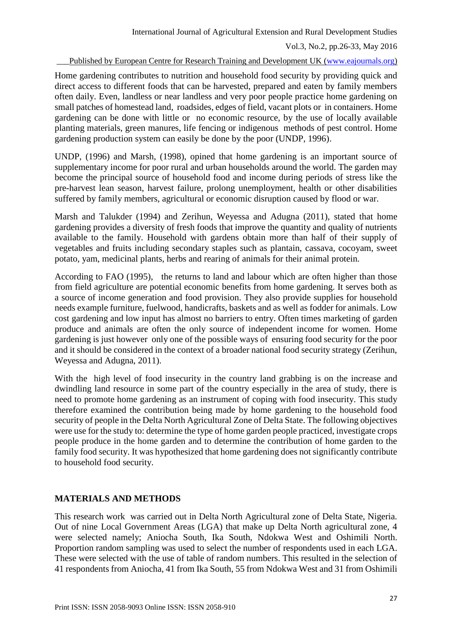## Published by European Centre for Research Training and Development UK [\(www.eajournals.org\)](http://www.eajournals.org/)

Home gardening contributes to nutrition and household food security by providing quick and direct access to different foods that can be harvested, prepared and eaten by family members often daily. Even, landless or near landless and very poor people practice home gardening on small patches of homestead land, roadsides, edges of field, vacant plots or in containers. Home gardening can be done with little or no economic resource, by the use of locally available planting materials, green manures, life fencing or indigenous methods of pest control. Home gardening production system can easily be done by the poor (UNDP, 1996).

UNDP, (1996) and Marsh, (1998), opined that home gardening is an important source of supplementary income for poor rural and urban households around the world. The garden may become the principal source of household food and income during periods of stress like the pre-harvest lean season, harvest failure, prolong unemployment, health or other disabilities suffered by family members, agricultural or economic disruption caused by flood or war.

Marsh and Talukder (1994) and Zerihun, Weyessa and Adugna (2011), stated that home gardening provides a diversity of fresh foods that improve the quantity and quality of nutrients available to the family. Household with gardens obtain more than half of their supply of vegetables and fruits including secondary staples such as plantain, cassava, cocoyam, sweet potato, yam, medicinal plants, herbs and rearing of animals for their animal protein.

According to FAO (1995), the returns to land and labour which are often higher than those from field agriculture are potential economic benefits from home gardening. It serves both as a source of income generation and food provision. They also provide supplies for household needs example furniture, fuelwood, handicrafts, baskets and as well as fodder for animals. Low cost gardening and low input has almost no barriers to entry. Often times marketing of garden produce and animals are often the only source of independent income for women. Home gardening is just however only one of the possible ways of ensuring food security for the poor and it should be considered in the context of a broader national food security strategy (Zerihun, Weyessa and Adugna, 2011).

With the high level of food insecurity in the country land grabbing is on the increase and dwindling land resource in some part of the country especially in the area of study, there is need to promote home gardening as an instrument of coping with food insecurity. This study therefore examined the contribution being made by home gardening to the household food security of people in the Delta North Agricultural Zone of Delta State. The following objectives were use for the study to: determine the type of home garden people practiced, investigate crops people produce in the home garden and to determine the contribution of home garden to the family food security. It was hypothesized that home gardening does not significantly contribute to household food security.

## **MATERIALS AND METHODS**

This research work was carried out in Delta North Agricultural zone of Delta State, Nigeria. Out of nine Local Government Areas (LGA) that make up Delta North agricultural zone, 4 were selected namely; Aniocha South, Ika South, Ndokwa West and Oshimili North. Proportion random sampling was used to select the number of respondents used in each LGA. These were selected with the use of table of random numbers. This resulted in the selection of 41 respondents from Aniocha, 41 from Ika South, 55 from Ndokwa West and 31 from Oshimili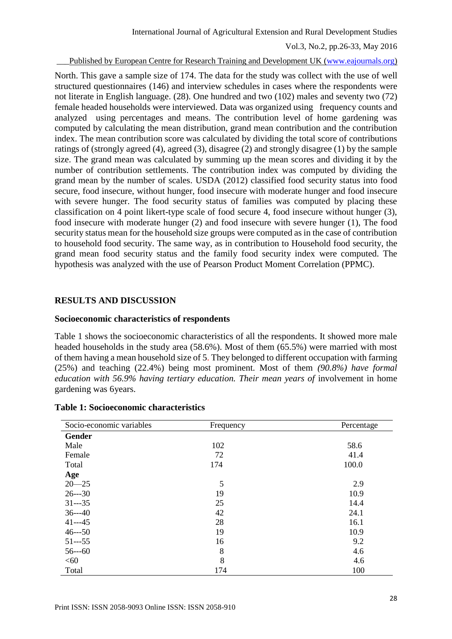Published by European Centre for Research Training and Development UK [\(www.eajournals.org\)](http://www.eajournals.org/)

North. This gave a sample size of 174. The data for the study was collect with the use of well structured questionnaires (146) and interview schedules in cases where the respondents were not literate in English language. (28). One hundred and two (102) males and seventy two (72) female headed households were interviewed. Data was organized using frequency counts and analyzed using percentages and means. The contribution level of home gardening was computed by calculating the mean distribution, grand mean contribution and the contribution index. The mean contribution score was calculated by dividing the total score of contributions ratings of (strongly agreed (4), agreed (3), disagree (2) and strongly disagree (1) by the sample size. The grand mean was calculated by summing up the mean scores and dividing it by the number of contribution settlements. The contribution index was computed by dividing the grand mean by the number of scales. USDA (2012) classified food security status into food secure, food insecure, without hunger, food insecure with moderate hunger and food insecure with severe hunger. The food security status of families was computed by placing these classification on 4 point likert-type scale of food secure 4, food insecure without hunger (3), food insecure with moderate hunger (2) and food insecure with severe hunger (1), The food security status mean for the household size groups were computed as in the case of contribution to household food security. The same way, as in contribution to Household food security, the grand mean food security status and the family food security index were computed. The hypothesis was analyzed with the use of Pearson Product Moment Correlation (PPMC).

#### **RESULTS AND DISCUSSION**

#### **Socioeconomic characteristics of respondents**

Table 1 shows the socioeconomic characteristics of all the respondents. It showed more male headed households in the study area (58.6%). Most of them (65.5%) were married with most of them having a mean household size of 5. They belonged to different occupation with farming (25%) and teaching (22.4%) being most prominent. Most of them *(90.8%) have formal education with 56.9% having tertiary education. Their mean years of* involvement in home gardening was 6years.

| Socio-economic variables | Frequency | Percentage |
|--------------------------|-----------|------------|
| Gender                   |           |            |
| Male                     | 102       | 58.6       |
| Female                   | 72        | 41.4       |
| Total                    | 174       | 100.0      |
| Age                      |           |            |
| $20 - 25$                | 5         | 2.9        |
| $26--30$                 | 19        | 10.9       |
| $31--35$                 | 25        | 14.4       |
| $36--40$                 | 42        | 24.1       |
| $41--45$                 | 28        | 16.1       |
| $46--50$                 | 19        | 10.9       |
| $51--55$                 | 16        | 9.2        |
| $56--60$                 | 8         | 4.6        |
| <60                      | 8         | 4.6        |
| Total                    | 174       | 100        |

#### **Table 1: Socioeconomic characteristics**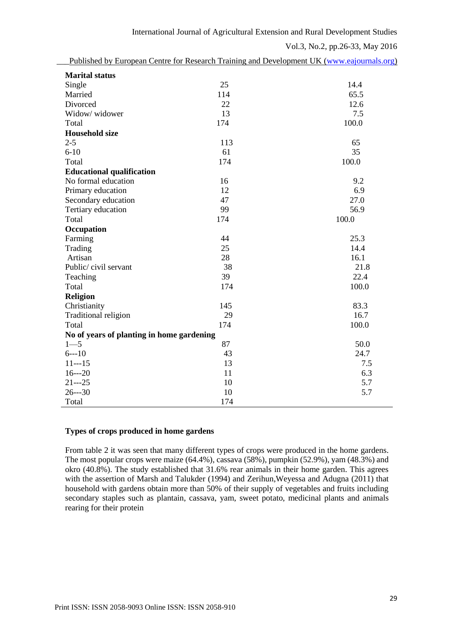|                                           |     | Published by European Centre for Research Training and Development UK (www.eajournals.org) |
|-------------------------------------------|-----|--------------------------------------------------------------------------------------------|
| <b>Marital status</b>                     |     |                                                                                            |
| Single                                    | 25  | 14.4                                                                                       |
| Married                                   | 114 | 65.5                                                                                       |
| Divorced                                  | 22  | 12.6                                                                                       |
| Widow/ widower                            | 13  | 7.5                                                                                        |
| Total                                     | 174 | 100.0                                                                                      |
| <b>Household size</b>                     |     |                                                                                            |
| $2 - 5$                                   | 113 | 65                                                                                         |
| $6 - 10$                                  | 61  | 35                                                                                         |
| Total                                     | 174 | 100.0                                                                                      |
| <b>Educational qualification</b>          |     |                                                                                            |
| No formal education                       | 16  | 9.2                                                                                        |
| Primary education                         | 12  | 6.9                                                                                        |
| Secondary education                       | 47  | 27.0                                                                                       |
| Tertiary education                        | 99  | 56.9                                                                                       |
| Total                                     | 174 | 100.0                                                                                      |
| Occupation                                |     |                                                                                            |
| Farming                                   | 44  | 25.3                                                                                       |
| Trading                                   | 25  | 14.4                                                                                       |
| Artisan                                   | 28  | 16.1                                                                                       |
| Public/civil servant                      | 38  | 21.8                                                                                       |
| Teaching                                  | 39  | 22.4                                                                                       |
| Total                                     | 174 | 100.0                                                                                      |
| <b>Religion</b>                           |     |                                                                                            |
| Christianity                              | 145 | 83.3                                                                                       |
| Traditional religion                      | 29  | 16.7                                                                                       |
| Total                                     | 174 | 100.0                                                                                      |
| No of years of planting in home gardening |     |                                                                                            |
| $1 - 5$                                   | 87  | 50.0                                                                                       |
| $6--10$                                   | 43  | 24.7                                                                                       |
| $11--15$                                  | 13  | 7.5                                                                                        |
| $16--20$                                  | 11  | 6.3                                                                                        |
| $21 - -25$                                | 10  | 5.7                                                                                        |
| $26--30$                                  | 10  | 5.7                                                                                        |
| Total                                     | 174 |                                                                                            |

## **Types of crops produced in home gardens**

From table 2 it was seen that many different types of crops were produced in the home gardens. The most popular crops were maize (64.4%), cassava (58%), pumpkin (52.9%), yam (48.3%) and okro (40.8%). The study established that 31.6% rear animals in their home garden. This agrees with the assertion of Marsh and Talukder (1994) and Zerihun,Weyessa and Adugna (2011) that household with gardens obtain more than 50% of their supply of vegetables and fruits including secondary staples such as plantain, cassava, yam, sweet potato, medicinal plants and animals rearing for their protein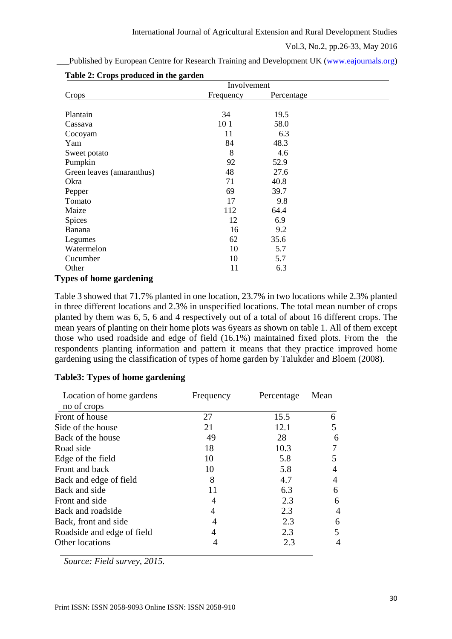|                                | Involvement |            |  |
|--------------------------------|-------------|------------|--|
| Crops                          | Frequency   | Percentage |  |
| Plantain                       | 34          | 19.5       |  |
| Cassava                        | 10 1        | 58.0       |  |
| Cocoyam                        | 11          | 6.3        |  |
| Yam                            | 84          | 48.3       |  |
| Sweet potato                   | 8           | 4.6        |  |
| Pumpkin                        | 92          | 52.9       |  |
| Green leaves (amaranthus)      | 48          | 27.6       |  |
| Okra                           | 71          | 40.8       |  |
| Pepper                         | 69          | 39.7       |  |
| Tomato                         | 17          | 9.8        |  |
| Maize                          | 112         | 64.4       |  |
| <b>Spices</b>                  | 12          | 6.9        |  |
| Banana                         | 16          | 9.2        |  |
| Legumes                        | 62          | 35.6       |  |
| Watermelon                     | 10          | 5.7        |  |
| Cucumber                       | 10          | 5.7        |  |
| Other                          | 11          | 6.3        |  |
| <b>Types of home gardening</b> |             |            |  |

Published by European Centre for Research Training and Development UK [\(www.eajournals.org\)](http://www.eajournals.org/)

Table 3 showed that 71.7% planted in one location, 23.7% in two locations while 2.3% planted in three different locations and 2.3% in unspecified locations. The total mean number of crops planted by them was 6, 5, 6 and 4 respectively out of a total of about 16 different crops. The mean years of planting on their home plots was 6years as shown on table 1. All of them except those who used roadside and edge of field (16.1%) maintained fixed plots. From the the respondents planting information and pattern it means that they practice improved home gardening using the classification of types of home garden by Talukder and Bloem (2008).

| Location of home gardens   | Frequency | Percentage | Mean |  |
|----------------------------|-----------|------------|------|--|
| no of crops                |           |            |      |  |
| Front of house             | 27        | 15.5       | 6    |  |
| Side of the house          | 21        | 12.1       | 5    |  |
| Back of the house          | 49        | 28         | 6    |  |
| Road side                  | 18        | 10.3       |      |  |
| Edge of the field          | 10        | 5.8        | 5    |  |
| Front and back             | 10        | 5.8        |      |  |
| Back and edge of field     | 8         | 4.7        | 4    |  |
| Back and side              |           | 6.3        | 6    |  |
| Front and side             | 4         | 2.3        | 6    |  |
| Back and roadside          | 4         | 2.3        | 4    |  |
| Back, front and side       |           | 2.3        | 6    |  |
| Roadside and edge of field |           | 2.3        | 5    |  |
| Other locations            |           | 2.3        | 4    |  |

## **Table3: Types of home gardening**

*Source: Field survey, 2015.*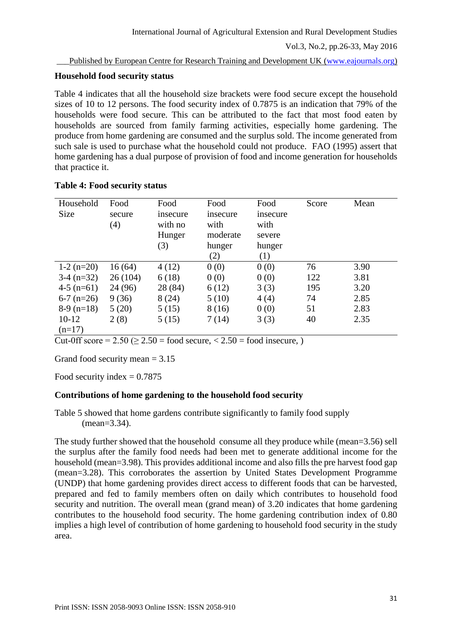Published by European Centre for Research Training and Development UK [\(www.eajournals.org\)](http://www.eajournals.org/)

### **Household food security status**

Table 4 indicates that all the household size brackets were food secure except the household sizes of 10 to 12 persons. The food security index of 0.7875 is an indication that 79% of the households were food secure. This can be attributed to the fact that most food eaten by households are sourced from family farming activities, especially home gardening. The produce from home gardening are consumed and the surplus sold. The income generated from such sale is used to purchase what the household could not produce. FAO (1995) assert that home gardening has a dual purpose of provision of food and income generation for households that practice it.

| Household<br>Size | Food<br>secure<br>(4) | Food<br>insecure<br>with no<br>Hunger<br>(3) | Food<br>insecure<br>with<br>moderate<br>hunger<br>(2) | Food<br>insecure<br>with<br>severe<br>hunger<br>(1) | Score | Mean |
|-------------------|-----------------------|----------------------------------------------|-------------------------------------------------------|-----------------------------------------------------|-------|------|
| $1-2(n=20)$       | 16(64)                | 4(12)                                        | 0(0)                                                  | 0(0)                                                | 76    | 3.90 |
| $3-4(n=32)$       | 26(104)               | 6(18)                                        | 0(0)                                                  | 0(0)                                                | 122   | 3.81 |
| $4-5$ (n=61)      | 24 (96)               | 28 (84)                                      | 6(12)                                                 | 3(3)                                                | 195   | 3.20 |
| $6-7$ (n=26)      | 9(36)                 | 8(24)                                        | 5(10)                                                 | 4(4)                                                | 74    | 2.85 |
| $8-9$ (n=18)      | 5(20)                 | 5(15)                                        | 8(16)                                                 | 0(0)                                                | 51    | 2.83 |
| $10-12$           | 2(8)                  | 5(15)                                        | 7(14)                                                 | 3(3)                                                | 40    | 2.35 |
| $(n=17)$          |                       |                                              |                                                       |                                                     |       |      |

Cut-0ff score =  $2.50 \ge 2.50$  = food secure,  $\langle 2.50 \rangle$  = food insecure, )

Grand food security mean  $= 3.15$ 

Food security index  $= 0.7875$ 

## **Contributions of home gardening to the household food security**

Table 5 showed that home gardens contribute significantly to family food supply (mean=3.34).

The study further showed that the household consume all they produce while (mean=3.56) sell the surplus after the family food needs had been met to generate additional income for the household (mean=3.98). This provides additional income and also fills the pre harvest food gap (mean=3.28). This corroborates the assertion by United States Development Programme (UNDP) that home gardening provides direct access to different foods that can be harvested, prepared and fed to family members often on daily which contributes to household food security and nutrition. The overall mean (grand mean) of 3.20 indicates that home gardening contributes to the household food security. The home gardening contribution index of 0.80 implies a high level of contribution of home gardening to household food security in the study area.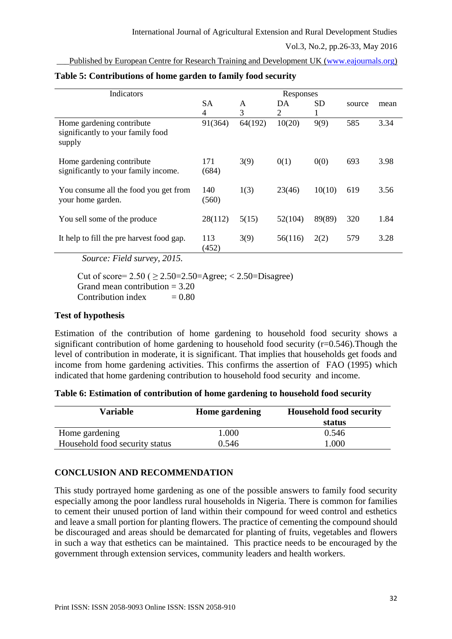Published by European Centre for Research Training and Development UK [\(www.eajournals.org\)](http://www.eajournals.org/)

| Indicators                                                               | Responses    |         |         |           |        |      |
|--------------------------------------------------------------------------|--------------|---------|---------|-----------|--------|------|
|                                                                          | <b>SA</b>    | A       | DA      | <b>SD</b> | source | mean |
|                                                                          | 4            | 3       | 2       | T         |        |      |
| Home gardening contribute<br>significantly to your family food<br>supply | 91(364)      | 64(192) | 10(20)  | 9(9)      | 585    | 3.34 |
| Home gardening contribute<br>significantly to your family income.        | 171<br>(684) | 3(9)    | 0(1)    | 0(0)      | 693    | 3.98 |
| You consume all the food you get from<br>your home garden.               | 140<br>(560) | 1(3)    | 23(46)  | 10(10)    | 619    | 3.56 |
| You sell some of the produce                                             | 28(112)      | 5(15)   | 52(104) | 89(89)    | 320    | 1.84 |
| It help to fill the pre harvest food gap.                                | 113<br>(452) | 3(9)    | 56(116) | 2(2)      | 579    | 3.28 |

#### **Table 5: Contributions of home garden to family food security**

*Source: Field survey, 2015.*

Cut of score=  $2.50$  (  $\geq$  2.50= $2.50$ =Agree; < 2.50=Disagree) Grand mean contribution  $= 3.20$ Contribution index  $= 0.80$ 

# **Test of hypothesis**

Estimation of the contribution of home gardening to household food security shows a significant contribution of home gardening to household food security  $(r=0.546)$ . Though the level of contribution in moderate, it is significant. That implies that households get foods and income from home gardening activities. This confirms the assertion of FAO (1995) which indicated that home gardening contribution to household food security and income.

|  | Table 6: Estimation of contribution of home gardening to household food security |  |  |  |
|--|----------------------------------------------------------------------------------|--|--|--|
|  |                                                                                  |  |  |  |
|  |                                                                                  |  |  |  |

| <b>Variable</b>                | <b>Home gardening</b> | <b>Household food security</b> |  |
|--------------------------------|-----------------------|--------------------------------|--|
|                                |                       | status                         |  |
| Home gardening                 | 1.000                 | 0.546                          |  |
| Household food security status | 0.546                 | .000                           |  |

# **CONCLUSION AND RECOMMENDATION**

This study portrayed home gardening as one of the possible answers to family food security especially among the poor landless rural households in Nigeria. There is common for families to cement their unused portion of land within their compound for weed control and esthetics and leave a small portion for planting flowers. The practice of cementing the compound should be discouraged and areas should be demarcated for planting of fruits, vegetables and flowers in such a way that esthetics can be maintained. This practice needs to be encouraged by the government through extension services, community leaders and health workers.